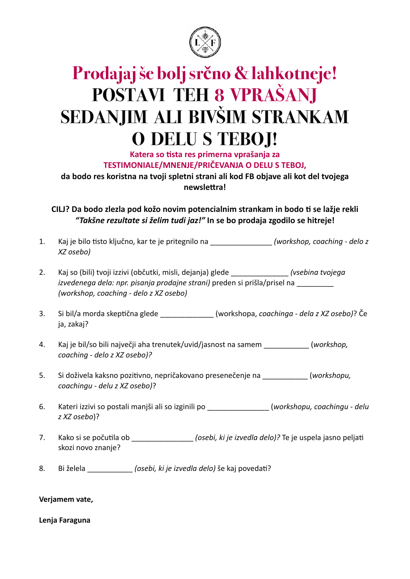

# **Prodajaj še bolj srčno & lahkotneje! POSTAVI TEH 8 VPRAŠANJ SEDANJIM ALI BIVŠIM STRANKAM O DELU S TEBOJ!**

**Katera so tista res primerna vprašanja za TESTIMONIALE/MNENJE/PRIČEVANJA O DELU S TEBOJ,** 

**da bodo res koristna na tvoji spletni strani ali kod FB objave ali kot del tvojega**   $newslettra!$ 

CILJ? Da bodo zlezla pod kožo novim potencialnim strankam in bodo ti se lažje rekli *"Takšne rezultate si želim tudi jaz!"* **In se bo prodaja zgodilo se hitreje!**

- 1. Kaj je bilo tisto ključno, kar te je pritegnilo na *za na korije (workshop, coaching delo z XZ osebo)*
- 2. Kaj so (bili) tvoji izzivi (občutki, misli, dejanja) glede \_\_\_\_\_\_\_\_\_\_\_\_\_\_ *(vsebina tvojega izvedenega dela: npr. pisanja prodajne strani)* preden si prišla/prisel na \_\_\_\_\_\_\_\_\_ *(workshop, coaching - delo z XZ osebo)*
- 3. Si bil/a morda skeptična glede **za objekovili (workshopa**, *coachinga dela z XZ osebo)*? Če ja, zakaj?
- 4. Kaj je bil/so bili največji aha trenutek/uvid/jasnost na samem \_\_\_\_\_\_\_\_\_\_\_ (*workshop, coaching - delo z XZ osebo)?*
- 5. Si doživela kaksno pozitivno, nepričakovano presenečenje na *zapredstvorkshopu*, *coachingu - delu z XZ osebo)*?
- 6. Kateri izzivi so postali manjši ali so izginili po \_\_\_\_\_\_\_\_\_\_\_\_\_\_\_ (*workshopu, coachingu delu z XZ osebo*)?
- 7. Kako si se počutila ob \_\_\_\_\_\_\_\_\_\_\_\_\_\_\_\_\_ *(osebi, ki je izvedla delo)*? Te je uspela jasno peljati skozi novo znanje?
- 8. Bi želela \_\_\_\_\_\_\_\_\_\_\_\_\_\_\_*(osebi, ki je izvedla delo)* še kaj povedati?

### **Verjamem vate,**

### **Lenja Faraguna**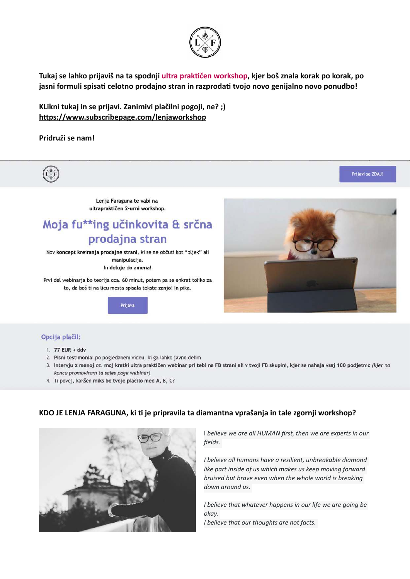

Tukaj se lahko prijaviš na ta spodnji ultra praktičen workshop, kjer boš znala korak po korak, po jasni formuli spisati celotno prodajno stran in razprodati tvojo novo genijalno novo ponudbo!

**KLikni tukaj in se prijavi. Zanimivi plačilni pogoji, ne? ;) [hLps://www.subscribepage.com/lenjaworkshop](https://www.subscribepage.com/lenjaworkshop)**

### **Pridruži se nam!**



Prijavi se ZDAJ!

Lenja Faraguna te vabi na ultrapraktičen 2-urni workshop.

## Moja fu\*\*ing učinkovita & srčna prodajna stran

Nov koncept kreiranja prodajne strani, ki se ne občuti kot "bljek" ali manipulacija. In deluje do amena!

Prvi del webinarja bo teorija cca. 60 minut, potem pa se enkrat toliko za to, da boš ti na licu mesta spisala tekste zanjo! In pika.





#### Opcija plačil:

- 1. 77 EUR + ddv
- 2. Pisni testimonial po pogledanem videu, ki ga lahko javno delim
- 3. Intervju z menoj oz. moj kratki ultra praktičen webinar pri tebi na FB strani ali v tvoji FB skupini, kjer se nahaja vsaj 100 podjetnic (kjer na koncu promoviram ta sales page webinar)
- 4. Ti povej, kakšen miks bo tvoje plačilo med A, B, C?



### KDO JE LENJA FARAGUNA, ki ti je pripravila ta diamantna vprašanja in tale zgornji workshop?

I *believe we are all HUMAN first, then we are experts in our fields.* 

*I believe all humans have a resilient, unbreakable diamond like part inside of us which makes us keep moving forward bruised but brave even when the whole world is breaking down around us.* 

*I believe that whatever happens in our life we are going be okay. I believe that our thoughts are not facts.*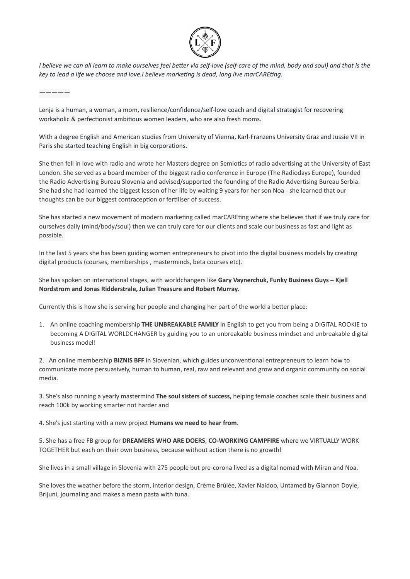

*I believe we can all learn to make ourselves feel better via self-love (self-care of the mind, body and soul) and that is the* key to lead a life we choose and love.*I believe marketing is dead, long live marCAREting.* 

*—————*

Lenja is a human, a woman, a mom, resilience/confidence/self-love coach and digital strategist for recovering workaholic & perfectionist ambitious women leaders, who are also fresh moms.

With a degree English and American studies from University of Vienna, Karl-Franzens University Graz and Jussie VII in Paris she started teaching English in big corporations.

She then fell in love with radio and wrote her Masters degree on Semiotics of radio advertising at the University of East London. She served as a board member of the biggest radio conference in Europe (The Radiodays Europe), founded the Radio Advertising Bureau Slovenia and advised/supported the founding of the Radio Advertising Bureau Serbia. She had she had learned the biggest lesson of her life by waiting 9 years for her son Noa - she learned that our thoughts can be our biggest contraception or fertiliser of success.

She has started a new movement of modern marketing called marCAREting where she believes that if we truly care for ourselves daily (mind/body/soul) then we can truly care for our clients and scale our business as fast and light as possible.

In the last 5 years she has been guiding women entrepreneurs to pivot into the digital business models by creating digital products (courses, memberships , masterminds, beta courses etc).

She has spoken on international stages, with worldchangers like Gary Vaynerchuk, Funky Business Guys - Kjell **Nordstrom and Jonas Ridderstrale, Julian Treasure and Robert Murray.** 

Currently this is how she is serving her people and changing her part of the world a better place:

1. An online coaching membership **THE UNBREAKABLE FAMILY** in English to get you from being a DIGITAL ROOKIE to becoming A DIGITAL WORLDCHANGER by guiding you to an unbreakable business mindset and unbreakable digital business model!

2. An online membership **BIZNIS BFF** in Slovenian, which guides unconventional entrepreneurs to learn how to communicate more persuasively, human to human, real, raw and relevant and grow and organic community on social media.

3. She's also running a yearly mastermind **The soul sisters of success,** helping female coaches scale their business and reach 100k by working smarter not harder and

4. She's just starting with a new project **Humans we need to hear from**.

5. She has a free FB group for **DREAMERS WHO ARE DOERS**, **CO-WORKING CAMPFIRE** where we VIRTUALLY WORK TOGETHER but each on their own business, because without action there is no growth!

She lives in a small village in Slovenia with 275 people but pre-corona lived as a digital nomad with Miran and Noa.

She loves the weather before the storm, interior design, Crème Brûlée, Xavier Naidoo, Untamed by Glannon Doyle, Brijuni, journaling and makes a mean pasta with tuna.